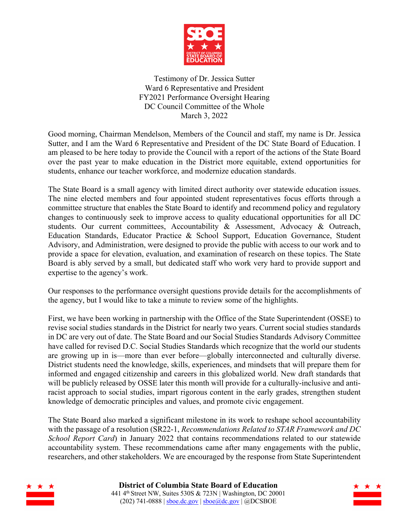

Testimony of Dr. Jessica Sutter Ward 6 Representative and President FY2021 Performance Oversight Hearing DC Council Committee of the Whole March 3, 2022

Good morning, Chairman Mendelson, Members of the Council and staff, my name is Dr. Jessica Sutter, and I am the Ward 6 Representative and President of the DC State Board of Education. I am pleased to be here today to provide the Council with a report of the actions of the State Board over the past year to make education in the District more equitable, extend opportunities for students, enhance our teacher workforce, and modernize education standards.

The State Board is a small agency with limited direct authority over statewide education issues. The nine elected members and four appointed student representatives focus efforts through a committee structure that enables the State Board to identify and recommend policy and regulatory changes to continuously seek to improve access to quality educational opportunities for all DC students. Our current committees, Accountability & Assessment, Advocacy & Outreach, Education Standards, Educator Practice & School Support, Education Governance, Student Advisory, and Administration, were designed to provide the public with access to our work and to provide a space for elevation, evaluation, and examination of research on these topics. The State Board is ably served by a small, but dedicated staff who work very hard to provide support and expertise to the agency's work.

Our responses to the performance oversight questions provide details for the accomplishments of the agency, but I would like to take a minute to review some of the highlights.

First, we have been working in partnership with the Office of the State Superintendent (OSSE) to revise social studies standards in the District for nearly two years. Current social studies standards in DC are very out of date. The State Board and our Social Studies Standards Advisory Committee have called for revised D.C. Social Studies Standards which recognize that the world our students are growing up in is—more than ever before—globally interconnected and culturally diverse. District students need the knowledge, skills, experiences, and mindsets that will prepare them for informed and engaged citizenship and careers in this globalized world. New draft standards that will be publicly released by OSSE later this month will provide for a culturally-inclusive and antiracist approach to social studies, impart rigorous content in the early grades, strengthen student knowledge of democratic principles and values, and promote civic engagement.

The State Board also marked a significant milestone in its work to reshape school accountability with the passage of a resolution (SR22-1, *Recommendations Related to STAR Framework and DC School Report Card*) in January 2022 that contains recommendations related to our statewide accountability system. These recommendations came after many engagements with the public, researchers, and other stakeholders. We are encouraged by the response from State Superintendent